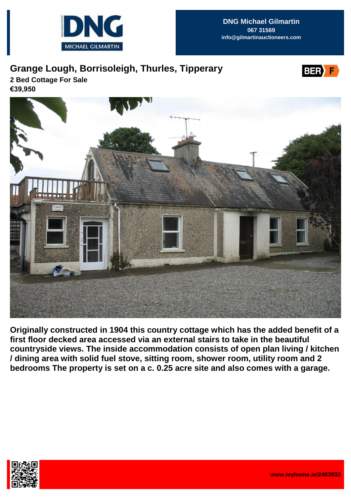

## **Grange Lough, Borrisoleigh, Thurles, Tipperary**



**2 Bed Cottage For Sale €39,950**



**Originally constructed in 1904 this country cottage which has the added benefit of a first floor decked area accessed via an external stairs to take in the beautiful countryside views. The inside accommodation consists of open plan living / kitchen / dining area with solid fuel stove, sitting room, shower room, utility room and 2 bedrooms The property is set on a c. 0.25 acre site and also comes with a garage.**

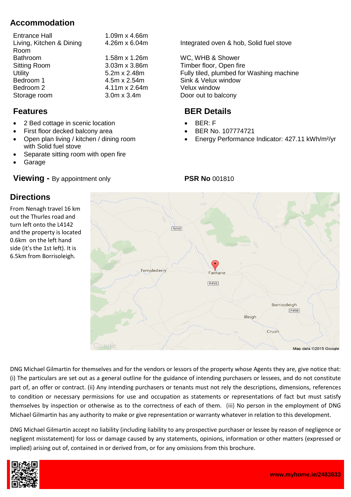## **Accommodation**

| 1.09m x 4.66m       |
|---------------------|
| 4.26m x 6.04m       |
|                     |
| 1.58m x 1.26m       |
| 3.03m x 3.86m       |
| $5.2m \times 2.48m$ |
| 4.5m x 2.54m        |
| 4.11m x 2.64m       |
| $3.0m \times 3.4m$  |
|                     |

#### **Features**

- 2 Bed cottage in scenic location
- First floor decked balcony area
- Open plan living / kitchen / dining room with Solid fuel stove
- Separate sitting room with open fire
- Garage

**Directions**

From Nenagh travel 16 km out the Thurles road and turn left onto the L4142

0.6km on the left hand side (it's the 1st left). It is 6.5km from Borrisoleigh.

#### **Viewing -** By appointment only

Integrated oven & hob. Solid fuel stove

WC. WHB & Shower Timber floor, Open fire Fully tiled, plumbed for Washing machine Sink & Velux window Velux window Door out to balcony

# **BER Details**

- BER: F
- BER No. 107774721
- Energy Performance Indicator: 427.11 kWh/m²/yr



DNG Michael Gilmartin for themselves and for the vendors or lessors of the property whose Agents they are, give notice that: (i) The particulars are set out as a general outline for the guidance of intending purchasers or lessees, and do not constitute part of, an offer or contract. (ii) Any intending purchasers or tenants must not rely the descriptions, dimensions, references to condition or necessary permissions for use and occupation as statements or representations of fact but must satisfy themselves by inspection or otherwise as to the correctness of each of them. (iii) No person in the employment of DNG Michael Gilmartin has any authority to make or give representation or warranty whatever in relation to this development.

DNG Michael Gilmartin accept no liability (including liability to any prospective purchaser or lessee by reason of negligence or negligent misstatement) for loss or damage caused by any statements, opinions, information or other matters (expressed or implied) arising out of, contained in or derived from, or for any omissions from this brochure.



### **PSR No** 001810